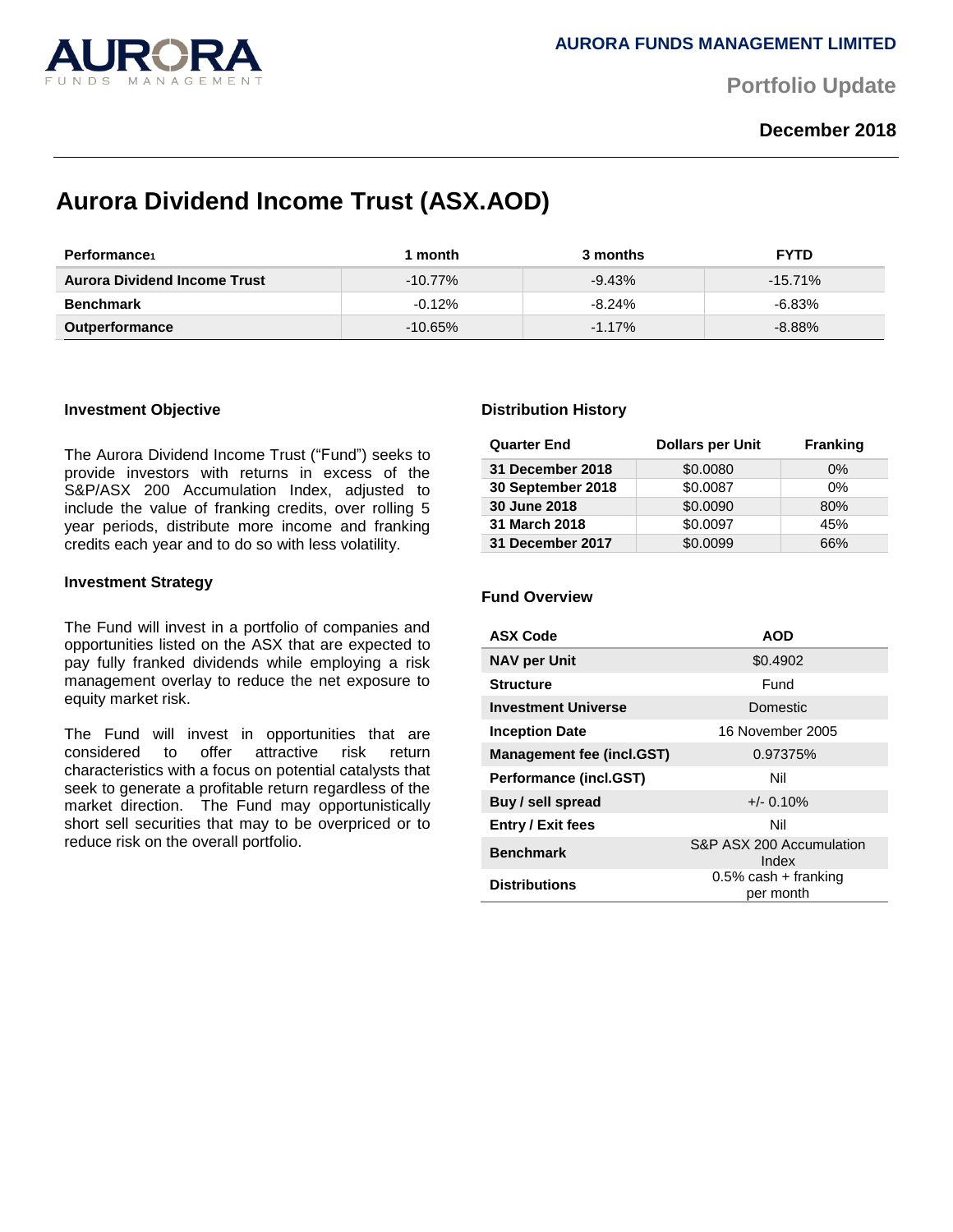

**Portfolio Update** 

## **December 2018**

# **Aurora Dividend Income Trust (ASX.AOD)**

| <b>Performance</b>                  | ∣ month    | 3 months  | <b>FYTD</b> |
|-------------------------------------|------------|-----------|-------------|
| <b>Aurora Dividend Income Trust</b> | $-10.77\%$ | $-9.43%$  | $-15.71\%$  |
| <b>Benchmark</b>                    | $-0.12\%$  | $-8.24%$  | $-6.83\%$   |
| <b>Outperformance</b>               | $-10.65\%$ | $-1.17\%$ | $-8.88\%$   |

### **Investment Objective**

The Aurora Dividend Income Trust ("Fund") seeks to provide investors with returns in excess of the S&P/ASX 200 Accumulation Index, adjusted to include the value of franking credits, over rolling 5 year periods, distribute more income and franking credits each year and to do so with less volatility.

### **Investment Strategy**

The Fund will invest in a portfolio of companies and opportunities listed on the ASX that are expected to pay fully franked dividends while employing a risk management overlay to reduce the net exposure to equity market risk.

The Fund will invest in opportunities that are considered to offer attractive risk return characteristics with a focus on potential catalysts that seek to generate a profitable return regardless of the market direction. The Fund may opportunistically short sell securities that may to be overpriced or to reduce risk on the overall portfolio.

#### **Distribution History**

| <b>Quarter End</b> | <b>Dollars per Unit</b> | <b>Franking</b> |
|--------------------|-------------------------|-----------------|
| 31 December 2018   | \$0.0080                | $0\%$           |
| 30 September 2018  | \$0.0087                | $0\%$           |
| 30 June 2018       | \$0.0090                | 80%             |
| 31 March 2018      | \$0.0097                | 45%             |
| 31 December 2017   | \$0.0099                | 66%             |

#### **Fund Overview**

| <b>ASX Code</b>                  | <b>AOD</b>                           |
|----------------------------------|--------------------------------------|
| <b>NAV per Unit</b>              | \$0.4902                             |
| <b>Structure</b>                 | Fund                                 |
| <b>Investment Universe</b>       | <b>Domestic</b>                      |
| <b>Inception Date</b>            | 16 November 2005                     |
| <b>Management fee (incl.GST)</b> | 0.97375%                             |
| <b>Performance (incl.GST)</b>    | Nil                                  |
| Buy / sell spread                | $+/- 0.10%$                          |
| Entry / Exit fees                | Nil                                  |
| <b>Benchmark</b>                 | S&P ASX 200 Accumulation<br>Index    |
| <b>Distributions</b>             | $0.5\%$ cash + franking<br>per month |